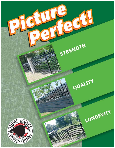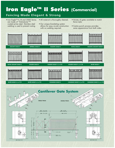# **Iron EagleTM II Series (Commercial)**

#### **Fencing Made Elegant & Strong**

- Iron Eagle™ II, III and 2000 Series are made of "Galvalume"™ coated prime steel. Stainless steel welding is used to prevent rusting.
- All material is thoroughly cleaned.
- Our unique bracketing system allows for easy on-site construction with no welding required.
- Variety of gates available to match fence style.
- Centre punch process provides same appearance from both sides.

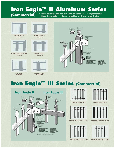# **Iron EagleTM II Aluminum Series**

**SILVER EAGLE II ALUMINUM**

**• Non-Rusting, Maximum Salt Resistance • Lightweight • Easy Assembly • Easy Handling of Panel and Gates (Commercial)**



**CANADIAN EAGLE II**

**ALUMINUM**



### **Iron EagleTM III Series (Commercial)**



![](_page_2_Picture_9.jpeg)

**MAJESTIC EAGLE III SP7Z GOLDEN EAGLE III SP7Z** 

![](_page_2_Figure_11.jpeg)

**GOLDEN EAGLE III SP7Z c/w F/R GOLDEN EAGLE III SP9Z c/w F/R**

![](_page_2_Picture_13.jpeg)

**GOLDEN EAGLE III SP7Z c/w P/R**

![](_page_2_Figure_15.jpeg)

![](_page_2_Figure_17.jpeg)

![](_page_2_Figure_19.jpeg)

**GOLDEN EAGLE III SP9Z c/w P/R**